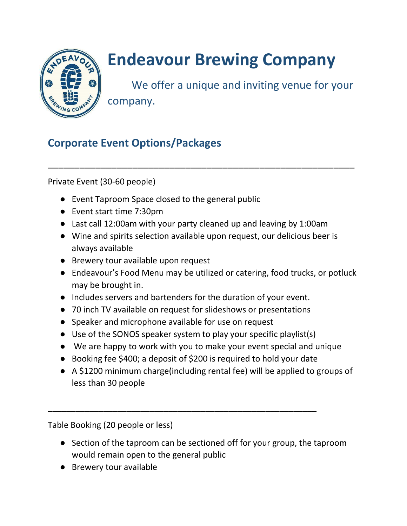

## **Endeavour Brewing Company**

We offer a unique and inviting venue for your company.

## **Corporate Event Options/Packages**

Private Event (30-60 people)

- Event Taproom Space closed to the general public
- Event start time 7:30pm
- Last call 12:00am with your party cleaned up and leaving by 1:00am
- Wine and spirits selection available upon request, our delicious beer is always available

\_\_\_\_\_\_\_\_\_\_\_\_\_\_\_\_\_\_\_\_\_\_\_\_\_\_\_\_\_\_\_\_\_\_\_\_\_\_\_\_\_\_\_\_\_\_\_\_\_\_\_\_\_\_\_\_\_\_

- Brewery tour available upon request
- Endeavour's Food Menu may be utilized or catering, food trucks, or potluck may be brought in.
- Includes servers and bartenders for the duration of your event.
- 70 inch TV available on request for slideshows or presentations
- Speaker and microphone available for use on request
- Use of the SONOS speaker system to play your specific playlist(s)
- We are happy to work with you to make your event special and unique
- Booking fee \$400; a deposit of \$200 is required to hold your date

\_\_\_\_\_\_\_\_\_\_\_\_\_\_\_\_\_\_\_\_\_\_\_\_\_\_\_\_\_\_\_\_\_\_\_\_\_\_\_\_\_\_\_\_\_\_\_\_\_\_\_\_\_\_\_\_\_\_

● A \$1200 minimum charge(including rental fee) will be applied to groups of less than 30 people

Table Booking (20 people or less)

- Section of the taproom can be sectioned off for your group, the taproom would remain open to the general public
- Brewery tour available